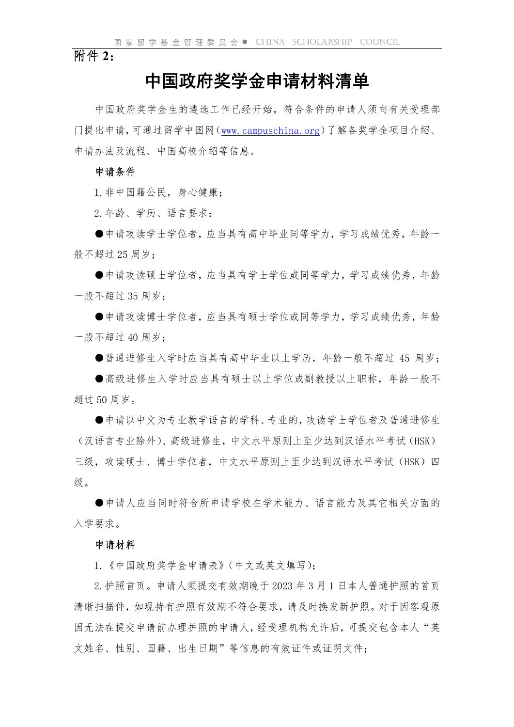附件 **2**:

# 中国政府奖学金申请材料清单

中国政府奖学金生的遴选工作已经开始,符合条件的申请人须向有关受理部 门提出申请,可通过留学中国网(www.campuschina.org)了解各奖学金项目介绍、 申请办法及流程、中国高校介绍等信息。

#### 申请条件

1.非中国籍公民,身心健康;

2.年龄、学历、语言要求:

●申请攻读学士学位者,应当具有高中毕业同等学力,学习成绩优秀,年龄一 般不超过 25 周岁;

●申请攻读硕士学位者,应当具有学士学位或同等学力,学习成绩优秀,年龄 一般不超过 35 周岁;

●申请攻读博士学位者,应当具有硕士学位或同等学力,学习成绩优秀,年龄 一般不超过 40 周岁;

●普通进修生入学时应当具有高中毕业以上学历,年龄一般不超过 45 周岁;

●高级进修生入学时应当具有硕士以上学位或副教授以上职称,年龄一般不 超过 50 周岁。

●申请以中文为专业教学语言的学科、专业的,攻读学士学位者及普通进修生 (汉语言专业除外)、高级进修生,中文水平原则上至少达到汉语水平考试(HSK) 三级,攻读硕士、博士学位者,中文水平原则上至少达到汉语水平考试(HSK)四 级。

●申请人应当同时符合所申请学校在学术能力、语言能力及其它相关方面的 入学要求。

#### 申请材料

1.《中国政府奖学金申请表》(中文或英文填写);

2.护照首页。申请人须提交有效期晚于 2023年3月1 日本人普通护照的首页 清晰扫描件,如现持有护照有效期不符合要求,请及时换发新护照。对于因客观原 因无法在提交申请前办理护照的申请人,经受理机构允许后,可提交包含本人"英 文姓名、性别、国籍、出生日期"等信息的有效证件或证明文件;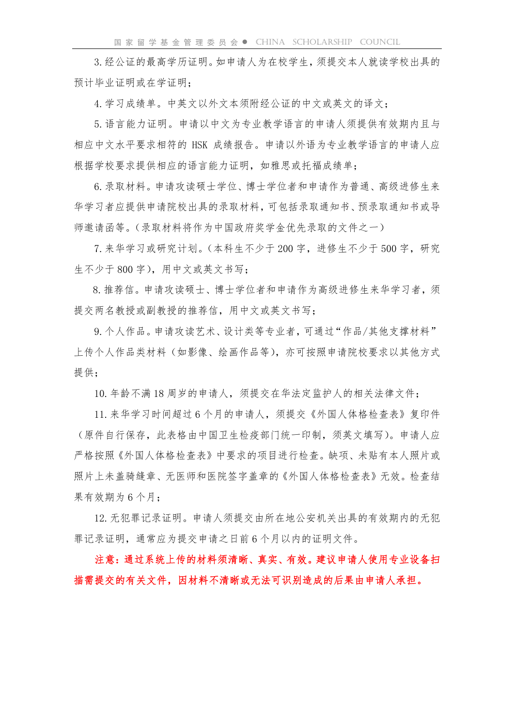3.经公证的最高学历证明。如申请人为在校学生,须提交本人就读学校出具的 预计毕业证明或在学证明;

4.学习成绩单。中英文以外文本须附经公证的中文或英文的译文;

5.语言能力证明。申请以中文为专业教学语言的申请人须提供有效期内且与 相应中文水平要求相符的 HSK 成绩报告。申请以外语为专业教学语言的申请人应 根据学校要求提供相应的语言能力证明,如雅思或托福成绩单;

6.录取材料。申请攻读硕士学位、博士学位者和申请作为普通、高级进修生来 华学习者应提供申请院校出具的录取材料,可包括录取通知书、预录取通知书或导 师邀请函等。(录取材料将作为中国政府奖学金优先录取的文件之一)

7. 来华学习或研究计划。(本科生不少于 200 字, 进修生不少于 500 字, 研究 生不少于 800 字),用中文或英文书写;

8.推荐信。申请攻读硕士、博士学位者和申请作为高级进修生来华学习者,须 提交两名教授或副教授的推荐信,用中文或英文书写;

9. 个人作品。申请攻读艺术、设计类等专业者, 可通过"作品/其他支撑材料" 上传个人作品类材料(如影像、绘画作品等),亦可按照申请院校要求以其他方式 提供;

10.年龄不满 18 周岁的申请人,须提交在华法定监护人的相关法律文件;

11.来华学习时间超过 6 个月的申请人,须提交《外国人体格检查表》复印件 (原件自行保存,此表格由中国卫生检疫部门统一印制,须英文填写)。申请人应 严格按照《外国人体格检查表》中要求的项目进行检查。缺项、未贴有本人照片或 照片上未盖骑缝章、无医师和医院签字盖章的《外国人体格检查表》无效。检查结 果有效期为 6 个月;

12.无犯罪记录证明。申请人须提交由所在地公安机关出具的有效期内的无犯 罪记录证明,通常应为提交申请之日前 6 个月以内的证明文件。

注意:通过系统上传的材料须清晰、真实、有效。建议申请人使用专业设备扫 描需提交的有关文件,因材料不清晰或无法可识别造成的后果由申请人承担。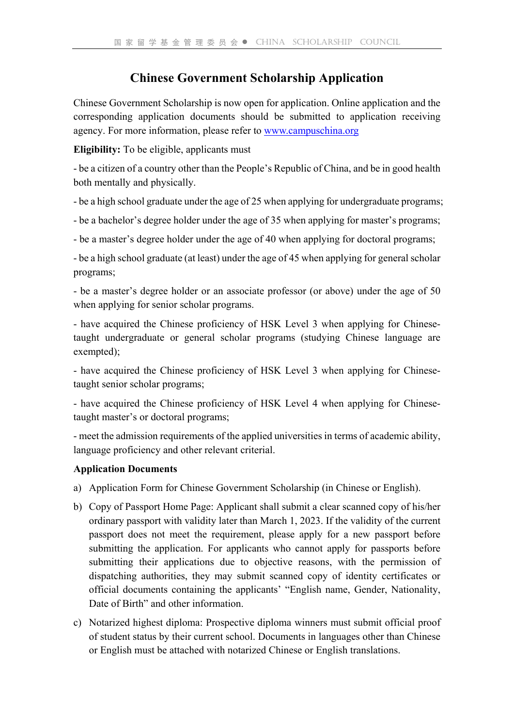## **Chinese Government Scholarship Application**

Chinese Government Scholarship is now open for application. Online application and the corresponding application documents should be submitted to application receiving agency. For more information, please refer to www.campuschina.org

**Eligibility:** To be eligible, applicants must

- be a citizen of a country other than the People's Republic of China, and be in good health both mentally and physically.

- be a high school graduate under the age of 25 when applying for undergraduate programs;

- be a bachelor's degree holder under the age of 35 when applying for master's programs;

- be a master's degree holder under the age of 40 when applying for doctoral programs;

- be a high school graduate (at least) under the age of 45 when applying for general scholar programs;

- be a master's degree holder or an associate professor (or above) under the age of 50 when applying for senior scholar programs.

- have acquired the Chinese proficiency of HSK Level 3 when applying for Chinesetaught undergraduate or general scholar programs (studying Chinese language are exempted);

- have acquired the Chinese proficiency of HSK Level 3 when applying for Chinesetaught senior scholar programs;

- have acquired the Chinese proficiency of HSK Level 4 when applying for Chinesetaught master's or doctoral programs;

- meet the admission requirements of the applied universities in terms of academic ability, language proficiency and other relevant criterial.

### **Application Documents**

- a) Application Form for Chinese Government Scholarship (in Chinese or English).
- b) Copy of Passport Home Page: Applicant shall submit a clear scanned copy of his/her ordinary passport with validity later than March 1, 2023. If the validity of the current passport does not meet the requirement, please apply for a new passport before submitting the application. For applicants who cannot apply for passports before submitting their applications due to objective reasons, with the permission of dispatching authorities, they may submit scanned copy of identity certificates or official documents containing the applicants' "English name, Gender, Nationality, Date of Birth" and other information.
- c) Notarized highest diploma: Prospective diploma winners must submit official proof of student status by their current school. Documents in languages other than Chinese or English must be attached with notarized Chinese or English translations.